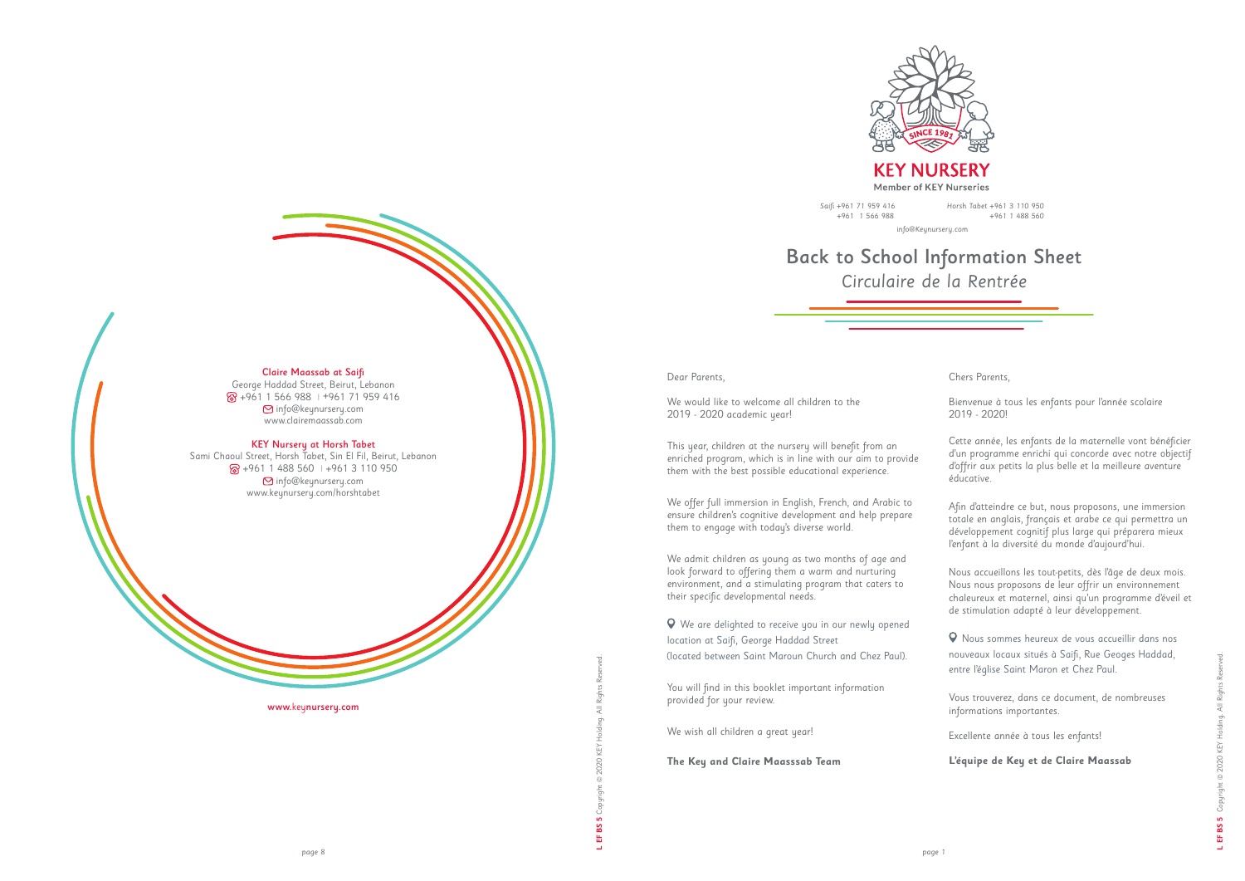

**KEY NURSERY Member of KEY Nurseries** 

www.keynursery.com

### Claire Maassab at Saifi

George Haddad Street, Beirut, Lebanon +961 1 566 988 | +961 71 959 416 info@keynursery.com www.clairemaassab.com

#### KEY Nursery at Horsh Tabet

Sami Chaoul Street, Horsh Tabet, Sin El Fil, Beirut, Lebanon +961 1 488 560 | +961 3 110 950 info@keynursery.com www.keynursery.com/horshtabet

# Back to School Information Sheet *Circulaire de la Rentrée*

Horsh Tabet +961 3 110 950 +961 1 488 560

info@Keynursery.com

#### Dear Parents,

We would like to welcome all children to the 2019 - 2020 academic year!

This year, children at the nursery will benefit from an enriched program, which is in line with our aim to provide them with the best possible educational experience.

We offer full immersion in English, French, and Arabic to ensure children's cognitive development and help prepare them to engage with today's diverse world.

We admit children as young as two months of age and look forward to offering them a warm and nurturing environment, and a stimulating program that caters to their specific developmental needs.

 We are delighted to receive you in our newly opened location at Saifi, George Haddad Street (located between Saint Maroun Church and Chez Paul).

You will find in this booklet important information provided for your review.

We wish all children a great year!

**The Key and Claire Maasssab Team**

Chers Parents,

Bienvenue à tous les enfants pour l'année scolaire 2019 - 2020!

Cette année, les enfants de la maternelle vont bénéficier d'un programme enrichi qui concorde avec notre objectif d'offrir aux petits la plus belle et la meilleure aventure éducative.

Afin d'atteindre ce but, nous proposons, une immersion totale en anglais, français et arabe ce qui permettra un développement cognitif plus large qui préparera mieux l'enfant à la diversité du monde d'aujourd'hui.

Nous accueillons les tout-petits, dès l'âge de deux mois. Nous nous proposons de leur offrir un environnement chaleureux et maternel, ainsi qu'un programme d'éveil et de stimulation adapté à leur développement.

 Nous sommes heureux de vous accueillir dans nos nouveaux locaux situés à Saifi, Rue Geoges Haddad, entre l'église Saint Maron et Chez Paul.

Vous trouverez, dans ce document, de nombreuses informations importantes.

Excellente année à tous les enfants!

**L'équipe de Key et de Claire Maassab**

Saifi +961 71 959 416 +961 1 566 988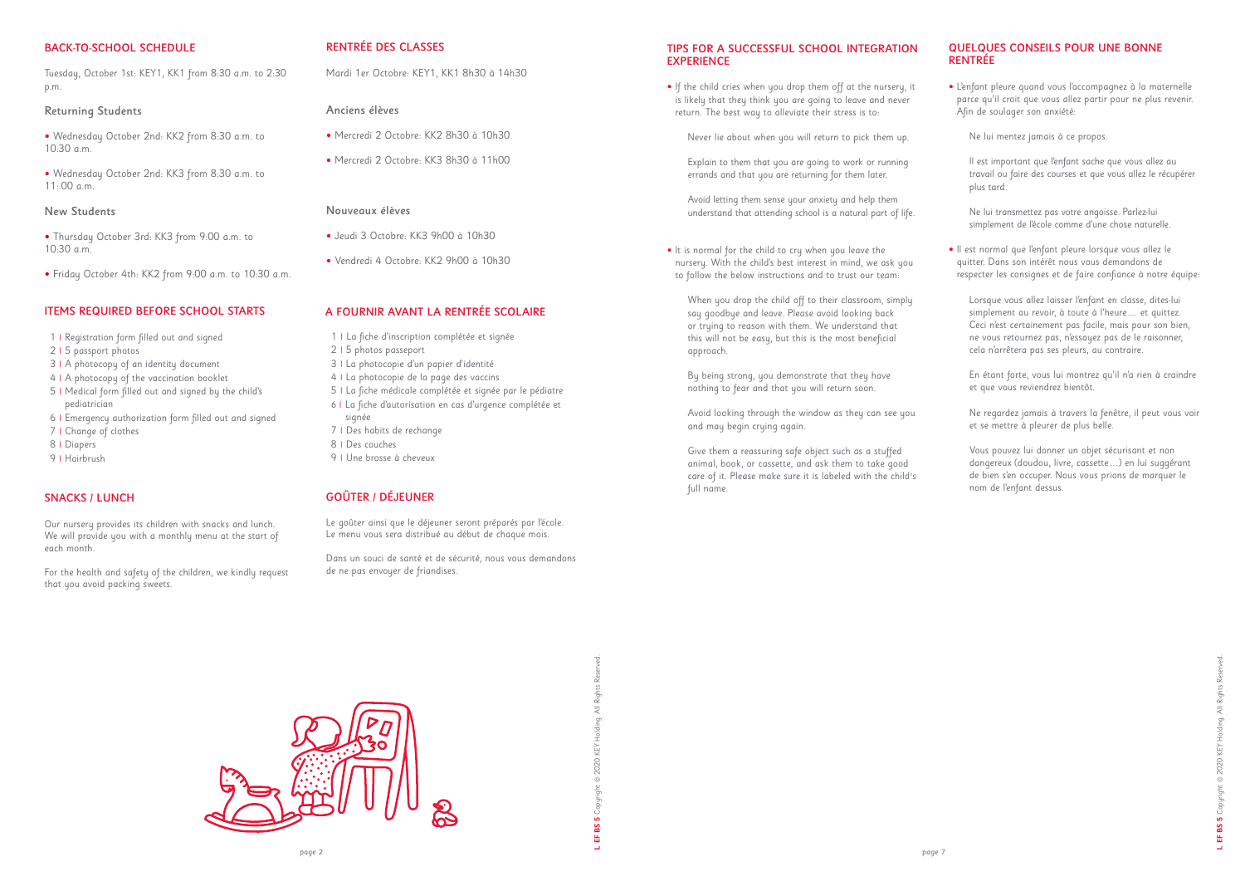# BACK-TO-SCHOOL SCHEDULE

• Wednesday October 2nd: KK3 from 8:30 a.m. to  $11.00 cm$ 

Tuesday, October 1st: KEY1, KK1 from 8:30 a.m. to 2:30 p.m.

# Returning Students

• Wednesday October 2nd: KK2 from 8:30 a.m. to 10:30 a.m.

#### New Students

• Thursday October 3rd: KK3 from 9:00 a.m. to 10:30 a.m.

• Friday October 4th: KK2 from 9:00 a.m. to 10:30 a.m.

# RENTRÉE DES CLASSES

Mardi 1er Octobre: KEY1, KK1 8h30 à 14h30

# Anciens élèves

- Mercredi 2 Octobre: KK2 8h30 à 10h30
- Mercredi 2 Octobre: KK3 8h30 à 11h00

# Nouveaux élèves

- Jeudi 3 Octobre: KK3 9h00 à 10h30
- Vendredi 4 Octobre: KK2 9h00 à 10h30

### ITEMS REQUIRED BEFORE SCHOOL STARTS

- 1 **|** Registration form filled out and signed
- 2 **|** 5 passport photos
- 3 **|** A photocopy of an identity document
- 4 **|** A photocopy of the vaccination booklet
- 5 **|** Medical form filled out and signed by the child's pediatrician
- 6 **|** Emergency authorization form filled out and signed
- 7 **|** Change of clothes
- 8 **|** Diapers
- 9 **|** Hairbrush

# TIPS FOR A SUCCESSFUL SCHOOL INTEGRATION **EXPERIENCE**

# A FOURNIR AVANT LA RENTRÉE SCOLAIRE

- 1 **|** La fiche d'inscription complétée et signée
- 2 **|** 5 photos passeport
- 3 **|** La photocopie d'un papier d'identité
- 4 **|** La photocopie de la page des vaccins
- 5 **|** La fiche médicale complétée et signée par le pédiatre  *6* **|** La fiche d'autorisation en cas d'urgence complétée et signée
- 7 **|** Des habits de rechange
- 8 **|** Des couches
- 9 **|** Une brosse à cheveux

# GOÛTER / DÉJEUNER

Le goûter ainsi que le déjeuner seront préparés par l'école. Le menu vous sera distribué au début de chaque mois.

Dans un souci de santé et de sécurité, nous vous demandons de ne pas envoyer de friandises.

# SNACKS / LUNCH

Our nursery provides its children with snacks and lunch. We will provide you with a monthly menu at the start of each month.

For the health and safety of the children, we kindly request that you avoid packing sweets.

- If the child cries when you drop them off at the nursery, it is likely that they think you are going to leave and never return. The best way to alleviate their stress is to:
	- Never lie about when you will return to pick them up.
	- Explain to them that you are going to work or running errands and that you are returning for them later.
	- Avoid letting them sense your anxiety and help them understand that attending school is a natural part of life.
- It is normal for the child to cry when you leave the nursery. With the child's best interest in mind, we ask you to follow the below instructions and to trust our team:
	- When you drop the child off to their classroom, simply say goodbye and leave. Please avoid looking back or trying to reason with them. We understand that this will not be easy, but this is the most beneficial approach.
	- By being strong, you demonstrate that they have nothing to fear and that you will return soon.

Avoid looking through the window as they can see you and may begin crying again.

Give them a reassuring safe object such as a stuffed animal, book, or cassette, and ask them to take good care of it. Please make sure it is labeled with the child*'*s full name.



# QUELQUES CONSEILS POUR UNE BONNE RENTRÉE

• L'enfant pleure quand vous l'accompagnez à la maternelle parce qu'il croit que vous allez partir pour ne plus revenir. Afin de soulager son anxiété:

Ne lui mentez jamais à ce propos.

Il est important que l'enfant sache que vous allez au travail ou faire des courses et que vous allez le récupérer plus tard.

Ne lui transmettez pas votre angoisse. Parlez-lui simplement de l'école comme d'une chose naturelle.

• Il est normal que l'enfant pleure lorsque vous allez le quitter. Dans son intérêt nous vous demandons de respecter les consignes et de faire confiance à notre équipe:

Lorsque vous allez laisser l'enfant en classe, dites-lui simplement au revoir, à toute à l'heure… et quittez. Ceci n'est certainement pas facile, mais pour son bien, ne vous retournez pas, n'essayez pas de le raisonner, cela n'arrêtera pas ses pleurs, au contraire.

En étant forte, vous lui montrez qu'il n'a rien à craindre et que vous reviendrez bientôt.

Ne regardez jamais à travers la fenêtre, il peut vous voir et se mettre à pleurer de plus belle.

Vous pouvez lui donner un objet sécurisant et non dangereux (doudou, livre, cassette…) en lui suggérant de bien s'en occuper. Nous vous prions de marquer le nom de l'enfant dessus.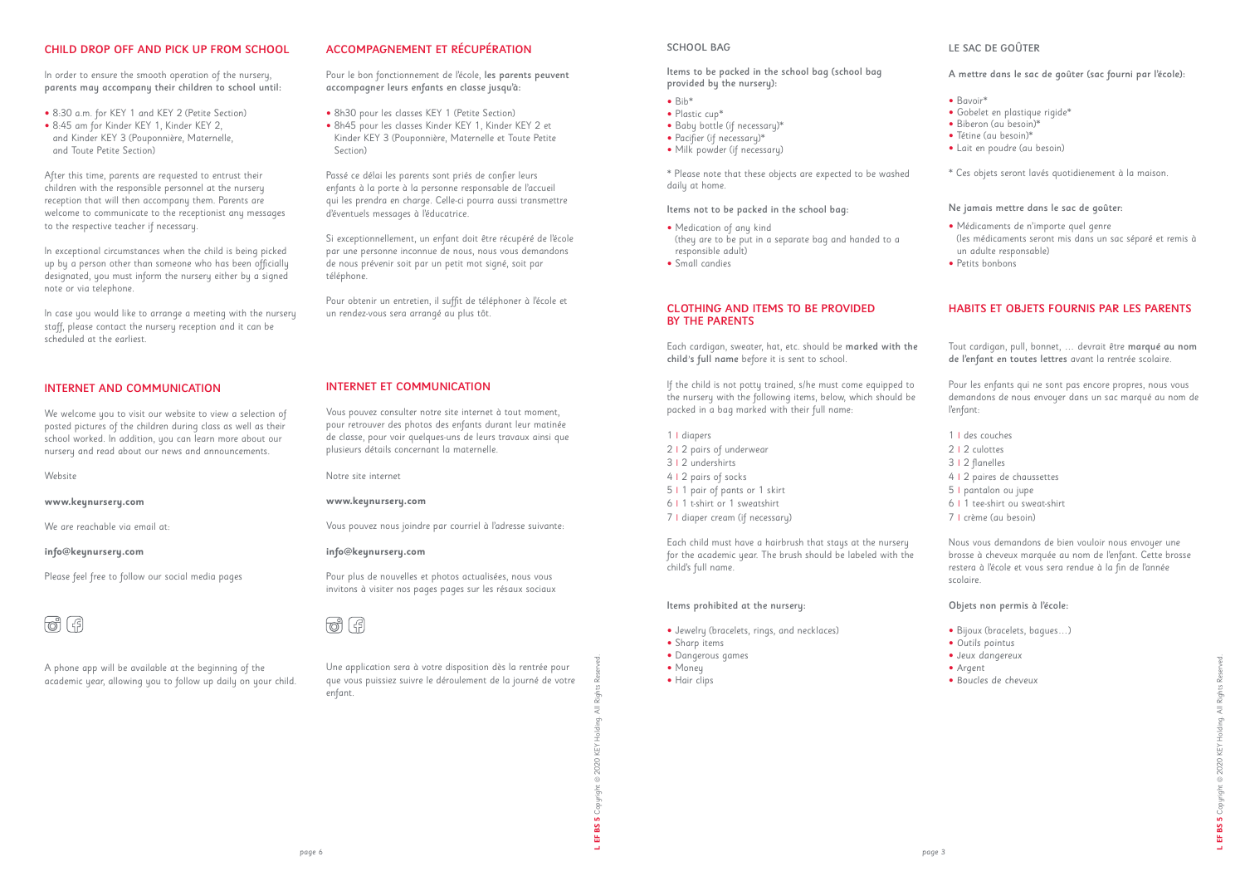# CHILD DROP OFF AND PICK UP FROM SCHOOL

In order to ensure the smooth operation of the nursery, parents may accompany their children to school until:

- 8:30 a.m. for KEY 1 and KEY 2 (Petite Section)
- 8:45 am for Kinder KEY 1, Kinder KEY 2, and Kinder KEY 3 (Pouponnière, Maternelle, and Toute Petite Section)

After this time, parents are requested to entrust their children with the responsible personnel at the nursery reception that will then accompany them. Parents are welcome to communicate to the receptionist any messages to the respective teacher if necessary.

In exceptional circumstances when the child is being picked up by a person other than someone who has been officially designated, you must inform the nursery either by a signed note or via telephone.

In case you would like to arrange a meeting with the nursery staff, please contact the nursery reception and it can be scheduled at the earliest.

# ACCOMPAGNEMENT ET RÉCUPÉRATION

Pour le bon fonctionnement de l'école, les parents peuvent accompagner leurs enfants en classe jusqu'à:

- 8h30 pour les classes KEY 1 (Petite Section)
- 8h45 pour les classes Kinder KEY 1, Kinder KEY 2 et Kinder KEY 3 (Pouponnière, Maternelle et Toute Petite Section)

Passé ce délai les parents sont priés de confier leurs enfants à la porte à la personne responsable de l'accueil qui les prendra en charge. Celle-ci pourra aussi transmettre d'éventuels messages à l'éducatrice.

Si exceptionnellement, un enfant doit être récupéré de l'école par une personne inconnue de nous, nous vous demandons de nous prévenir soit par un petit mot signé, soit par téléphone.

Pour obtenir un entretien, il suffit de téléphoner à l'école et un rendez-vous sera arrangé au plus tôt.

# INTERNET ET COMMUNICATION

- $\bullet$  Bih<sup>\*</sup>
- Plastic cup\*
- Baby bottle (if necessary)\*
- Pacifier (if necessary)\*
- Milk powder (if necessary)

- Medication of any kind (they are to be put in a separate bag and handed to a responsible adult)
- Small candies

Vous pouvez consulter notre site internet à tout moment, pour retrouver des photos des enfants durant leur matinée de classe, pour voir quelques-uns de leurs travaux ainsi que plusieurs détails concernant la maternelle.

Notre site internet

#### **www.keynursery.com**

Vous pouvez nous joindre par courriel à l'adresse suivante:

#### **info@keynursery.com**

Pour plus de nouvelles et photos actualisées, nous vous invitons à visiter nos pages pages sur les résaux sociaux



Une application sera à votre disposition dès la rentrée pour que vous puissiez suivre le déroulement de la journé de votre enfant.

# INTERNET AND COMMUNICATION

We welcome you to visit our website to view a selection of posted pictures of the children during class as well as their school worked. In addition, you can learn more about our nursery and read about our news and announcements.

Website

**www.keynursery.com** 

We are reachable via email at:

#### **info@keynursery.com**

Please feel free to follow our social media pages

A phone app will be available at the beginning of the academic year, allowing you to follow up daily on your child. **L EF BS 5** Copyright © 2020 KEY Holding. All Rights Reserved.

SS<sub>1</sub>

啬

# LE SAC DE GOÛTER

### A mettre dans le sac de goûter (sac fourni par l'école):

- Bavoir\*
- Gobelet en plastique rigide\*
- Biberon (au besoin)\*
- Tétine (au besoin)\*
- Lait en poudre (au besoin)
- \* Ces objets seront lavés quotidienement à la maison.

#### Ne jamais mettre dans le sac de goûter:

- Médicaments de n'importe quel genre (les médicaments seront mis dans un sac séparé et remis à un adulte responsable)
- Petits bonbons

#### SCHOOL BAG

Items to be packed in the school bag (school bag provided by the nursery):

\* Please note that these objects are expected to be washed daily at home.

#### Items not to be packed in the school bag:

# HABITS ET OBJETS FOURNIS PAR LES PARENTS

Tout cardigan, pull, bonnet, … devrait être marqué au nom de l'enfant en toutes lettres avant la rentrée scolaire.

Pour les enfants qui ne sont pas encore propres, nous vous demandons de nous envoyer dans un sac marqué au nom de l'enfant:

- 1 **|** des couches
- 2 **|** 2 culottes
- 3 **|** 2 flanelles
- 4 **|** 2 paires de chaussettes
- 5 **|** pantalon ou jupe
- 6 **|** 1 tee-shirt ou sweat-shirt
- 7 **|** crème (au besoin)

Nous vous demandons de bien vouloir nous envoyer une brosse à cheveux marquée au nom de l'enfant. Cette brosse restera à l'école et vous sera rendue à la fin de l'année scolaire.

### Objets non permis à l'école:

- Bijoux (bracelets, bagues…)
- *Outils pointus*
- *Jeux dangereux*
- *Argent*
- *Boucles de cheveux*

### CLOTHING AND ITEMS TO BE PROVIDED BY THE PARENTS

Each cardigan, sweater, hat, etc. should be marked with the child*'*s full name before it is sent to school.

If the child is not potty trained, s/he must come equipped to the nursery with the following items, below, which should be packed in a bag marked with their full name:

- 1 **|** diapers
- 2 **|** 2 pairs of underwear
- 3 **|** 2 undershirts
- 4 **|** 2 pairs of socks
- 5 **|** 1 pair of pants or 1 skirt
- 6 **|** 1 t-shirt or 1 sweatshirt
- 7 **|** diaper cream (if necessary)

Each child must have a hairbrush that stays at the nursery for the academic year. The brush should be labeled with the child's full name.

#### Items prohibited at the nursery:

- Jewelry (bracelets, rings, and necklaces)
- Sharp items
- Dangerous games
- Money

• Hair clips